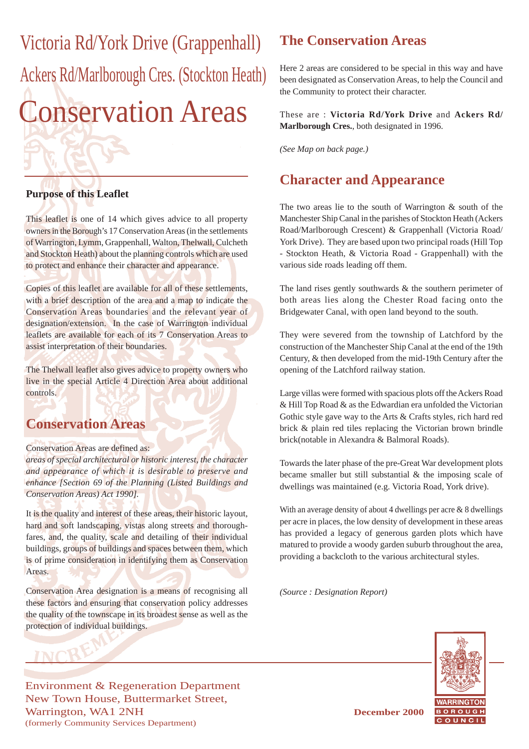Conservation Areas Victoria Rd/York Drive (Grappenhall) Ackers Rd/Marlborough Cres. (Stockton Heath)

#### **Purpose of this Leaflet**

This leaflet is one of 14 which gives advice to all property owners in the Borough's 17 Conservation Areas (in the settlements of Warrington, Lymm, Grappenhall, Walton, Thelwall, Culcheth and Stockton Heath) about the planning controls which are used to protect and enhance their character and appearance.

Copies of this leaflet are available for all of these settlements, with a brief description of the area and a map to indicate the Conservation Areas boundaries and the relevant year of designation/extension. In the case of Warrington individual leaflets are available for each of its 7 Conservation Areas to assist interpretation of their boundaries.

The Thelwall leaflet also gives advice to property owners who live in the special Article 4 Direction Area about additional controls.

#### **Conservation Areas**

#### Conservation Areas are defined as:

**INCB** 

*areas of special architectural or historic interest, the character and appearance of which it is desirable to preserve and enhance [Section 69 of the Planning (Listed Buildings and Conservation Areas) Act 1990].*

It is the quality and interest of these areas, their historic layout, hard and soft landscaping, vistas along streets and thoroughfares, and, the quality, scale and detailing of their individual buildings, groups of buildings and spaces between them, which is of prime consideration in identifying them as Conservation Areas.

Conservation Area designation is a means of recognising all these factors and ensuring that conservation policy addresses the quality of the townscape in its broadest sense as well as the protection of individual buildings.

## **The Conservation Areas**

Here 2 areas are considered to be special in this way and have been designated as Conservation Areas, to help the Council and the Community to protect their character.

These are : **Victoria Rd/York Drive** and **Ackers Rd/ Marlborough Cres.**, both designated in 1996.

*(See Map on back page.)*

## **Character and Appearance**

The two areas lie to the south of Warrington & south of the Manchester Ship Canal in the parishes of Stockton Heath (Ackers Road/Marlborough Crescent) & Grappenhall (Victoria Road/ York Drive). They are based upon two principal roads (Hill Top - Stockton Heath, & Victoria Road - Grappenhall) with the various side roads leading off them.

The land rises gently southwards & the southern perimeter of both areas lies along the Chester Road facing onto the Bridgewater Canal, with open land beyond to the south.

They were severed from the township of Latchford by the construction of the Manchester Ship Canal at the end of the 19th Century, & then developed from the mid-19th Century after the opening of the Latchford railway station.

Large villas were formed with spacious plots off the Ackers Road & Hill Top Road & as the Edwardian era unfolded the Victorian Gothic style gave way to the Arts & Crafts styles, rich hard red brick & plain red tiles replacing the Victorian brown brindle brick(notable in Alexandra & Balmoral Roads).

Towards the later phase of the pre-Great War development plots became smaller but still substantial & the imposing scale of dwellings was maintained (e.g. Victoria Road, York drive).

With an average density of about 4 dwellings per acre & 8 dwellings per acre in places, the low density of development in these areas has provided a legacy of generous garden plots which have matured to provide a woody garden suburb throughout the area, providing a backcloth to the various architectural styles.

*(Source : Designation Report)*



Environment & Regeneration Department New Town House, Buttermarket Street, Warrington, WA1 2NH **December 2000** (formerly Community Services Department)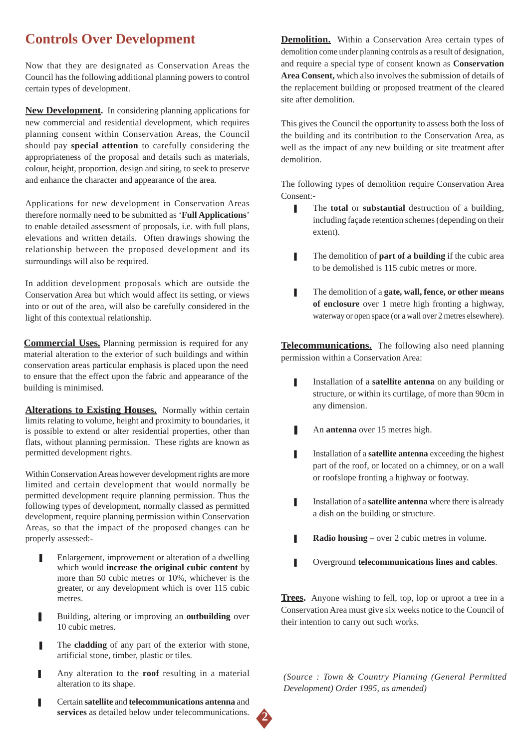# **Controls Over Development**

Now that they are designated as Conservation Areas the Council has the following additional planning powers to control certain types of development.

**New Development.** In considering planning applications for new commercial and residential development, which requires planning consent within Conservation Areas, the Council should pay **special attention** to carefully considering the appropriateness of the proposal and details such as materials, colour, height, proportion, design and siting, to seek to preserve and enhance the character and appearance of the area.

Applications for new development in Conservation Areas therefore normally need to be submitted as '**Full Applications**' to enable detailed assessment of proposals, i.e. with full plans, elevations and written details. Often drawings showing the relationship between the proposed development and its surroundings will also be required.

In addition development proposals which are outside the Conservation Area but which would affect its setting, or views into or out of the area, will also be carefully considered in the light of this contextual relationship.

**Commercial Uses.** Planning permission is required for any material alteration to the exterior of such buildings and within conservation areas particular emphasis is placed upon the need to ensure that the effect upon the fabric and appearance of the building is minimised.

**Alterations to Existing Houses.** Normally within certain limits relating to volume, height and proximity to boundaries, it is possible to extend or alter residential properties, other than flats, without planning permission. These rights are known as permitted development rights.

Within Conservation Areas however development rights are more limited and certain development that would normally be permitted development require planning permission. Thus the following types of development, normally classed as permitted development, require planning permission within Conservation Areas, so that the impact of the proposed changes can be properly assessed:-

- Enlargement, improvement or alteration of a dwelling which would **increase the original cubic content** by more than 50 cubic metres or 10%, whichever is the greater, or any development which is over 115 cubic metres.
- Building, altering or improving an **outbuilding** over 10 cubic metres.
- The **cladding** of any part of the exterior with stone, artificial stone, timber, plastic or tiles.
- Any alteration to the **roof** resulting in a material alteration to its shape.
- ❚ Certain **satellite** and **telecommunications antenna** and **services** as detailed below under telecommunications.

**Demolition.** Within a Conservation Area certain types of demolition come under planning controls as a result of designation, and require a special type of consent known as **Conservation Area Consent,** which also involves the submission of details of the replacement building or proposed treatment of the cleared site after demolition.

This gives the Council the opportunity to assess both the loss of the building and its contribution to the Conservation Area, as well as the impact of any new building or site treatment after demolition.

The following types of demolition require Conservation Area Consent:-

- The **total** or **substantial** destruction of a building, including façade retention schemes (depending on their extent).
- The demolition of **part of a building** if the cubic area to be demolished is 115 cubic metres or more.
- **■** The demolition of a **gate, wall, fence, or other means of enclosure** over 1 metre high fronting a highway, waterway or open space (or a wall over 2 metres elsewhere).

**Telecommunications.** The following also need planning permission within a Conservation Area:

- **I** Installation of a **satellite antenna** on any building or structure, or within its curtilage, of more than 90cm in any dimension.
- An **antenna** over 15 metres high.
- **■** Installation of a **satellite antenna** exceeding the highest part of the roof, or located on a chimney, or on a wall or roofslope fronting a highway or footway.
- **■** Installation of a **satellite antenna** where there is already a dish on the building or structure.
- **■** Radio housing over 2 cubic metres in volume.
- ❚ Overground **telecommunications lines and cables**.

**Trees.** Anyone wishing to fell, top, lop or uproot a tree in a Conservation Area must give six weeks notice to the Council of their intention to carry out such works.

*(Source : Town & Country Planning (General Permitted Development) Order 1995, as amended)*

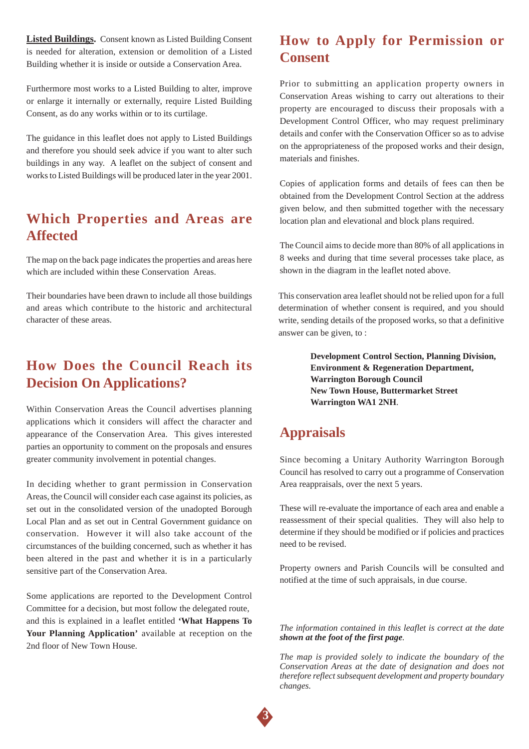**Listed Buildings.** Consent known as Listed Building Consent is needed for alteration, extension or demolition of a Listed Building whether it is inside or outside a Conservation Area.

Furthermore most works to a Listed Building to alter, improve or enlarge it internally or externally, require Listed Building Consent, as do any works within or to its curtilage.

The guidance in this leaflet does not apply to Listed Buildings and therefore you should seek advice if you want to alter such buildings in any way. A leaflet on the subject of consent and works to Listed Buildings will be produced later in the year 2001.

#### **Which Properties and Areas are Affected**

The map on the back page indicates the properties and areas here which are included within these Conservation Areas.

Their boundaries have been drawn to include all those buildings and areas which contribute to the historic and architectural character of these areas.

## **How Does the Council Reach its Decision On Applications?**

Within Conservation Areas the Council advertises planning applications which it considers will affect the character and appearance of the Conservation Area. This gives interested parties an opportunity to comment on the proposals and ensures greater community involvement in potential changes.

In deciding whether to grant permission in Conservation Areas, the Council will consider each case against its policies, as set out in the consolidated version of the unadopted Borough Local Plan and as set out in Central Government guidance on conservation. However it will also take account of the circumstances of the building concerned, such as whether it has been altered in the past and whether it is in a particularly sensitive part of the Conservation Area.

Some applications are reported to the Development Control Committee for a decision, but most follow the delegated route, and this is explained in a leaflet entitled **'What Happens To Your Planning Application'** available at reception on the 2nd floor of New Town House.

### **How to Apply for Permission or Consent**

Prior to submitting an application property owners in Conservation Areas wishing to carry out alterations to their property are encouraged to discuss their proposals with a Development Control Officer, who may request preliminary details and confer with the Conservation Officer so as to advise on the appropriateness of the proposed works and their design, materials and finishes.

Copies of application forms and details of fees can then be obtained from the Development Control Section at the address given below, and then submitted together with the necessary location plan and elevational and block plans required.

The Council aims to decide more than 80% of all applications in 8 weeks and during that time several processes take place, as shown in the diagram in the leaflet noted above.

This conservation area leaflet should not be relied upon for a full determination of whether consent is required, and you should write, sending details of the proposed works, so that a definitive answer can be given, to :

> **Development Control Section, Planning Division, Environment & Regeneration Department, Warrington Borough Council New Town House, Buttermarket Street Warrington WA1 2NH**.

## **Appraisals**

Since becoming a Unitary Authority Warrington Borough Council has resolved to carry out a programme of Conservation Area reappraisals, over the next 5 years.

These will re-evaluate the importance of each area and enable a reassessment of their special qualities. They will also help to determine if they should be modified or if policies and practices need to be revised.

Property owners and Parish Councils will be consulted and notified at the time of such appraisals, in due course.

*The information contained in this leaflet is correct at the date shown at the foot of the first page.*

*The map is provided solely to indicate the boundary of the Conservation Areas at the date of designation and does not therefore reflect subsequent development and property boundary changes.*